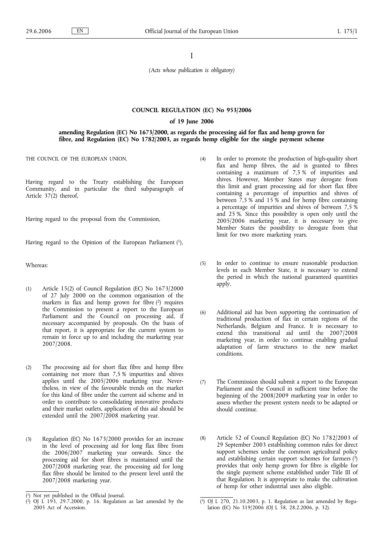I

*(Acts whose publication is obligatory)*

### **COUNCIL REGULATION (EC) No 953/2006**

#### **of 19 June 2006**

**amending Regulation (EC) No 1673/2000, as regards the processing aid for flax and hemp grown for fibre, and Regulation (EC) No 1782/2003, as regards hemp eligible for the single payment scheme**

THE COUNCIL OF THE EUROPEAN UNION,

Having regard to the Treaty establishing the European Community, and in particular the third subparagraph of Article 37(2) thereof,

Having regard to the proposal from the Commission,

Having regard to the Opinion of the European Parliament  $(1)$ ,

Whereas:

- (1) Article 15(2) of Council Regulation (EC) No 1673/2000 of 27 July 2000 on the common organisation of the markets in flax and hemp grown for fibre  $(2)$  requires the Commission to present a report to the European Parliament and the Council on processing aid, if necessary accompanied by proposals. On the basis of that report, it is appropriate for the current system to remain in force up to and including the marketing year 2007/2008.
- (2) The processing aid for short flax fibre and hemp fibre containing not more than 7,5 % impurities and shives applies until the 2005/2006 marketing year. Nevertheless, in view of the favourable trends on the market for this kind of fibre under the current aid scheme and in order to contribute to consolidating innovative products and their market outlets, application of this aid should be extended until the  $2007/2008$  marketing year.
- (3) Regulation (EC) No 1673/2000 provides for an increase in the level of processing aid for long flax fibre from the 2006/2007 marketing year onwards. Since the processing aid for short fibres is maintained until the 2007/2008 marketing year, the processing aid for long flax fibre should be limited to the present level until the 2007/2008 marketing year.
- (4) In order to promote the production of high-quality short flax and hemp fibres, the aid is granted to fibres containing a maximum of 7,5 % of impurities and shives. However, Member States may derogate from this limit and grant processing aid for short flax fibre containing a percentage of impurities and shives of between 7,5 % and 15 % and for hemp fibre containing a percentage of impurities and shives of between 7,5 % and 25 %. Since this possibility is open only until the 2005/2006 marketing year, it is necessary to give Member States the possibility to derogate from that limit for two more marketing years.
- (5) In order to continue to ensure reasonable production levels in each Member State, it is necessary to extend the period in which the national guaranteed quantities apply.
- (6) Additional aid has been supporting the continuation of traditional production of flax in certain regions of the Netherlands, Belgium and France. It is necessary to extend this transitional aid until the 2007/2008 marketing year, in order to continue enabling gradual adaptation of farm structures to the new market conditions.
- (7) The Commission should submit a report to the European Parliament and the Council in sufficient time before the beginning of the 2008/2009 marketing year in order to assess whether the present system needs to be adapted or should continue.
- (8) Article 52 of Council Regulation (EC) No 1782/2003 of 29 September 2003 establishing common rules for direct support schemes under the common agricultural policy and establishing certain support schemes for farmers  $(3)$ provides that only hemp grown for fibre is eligible for the single payment scheme established under Title III of that Regulation. It is appropriate to make the cultivation of hemp for other industrial uses also eligible.

<sup>(</sup> Not yet published in the Official Journal.

<sup>(</sup> 2) OJ L 193, 29.7.2000, p. 16. Regulation as last amended by the 2005 Act of Accession.

<sup>(</sup> 3) OJ L 270, 21.10.2003, p. 1. Regulation as last amended by Regulation (EC) No 319/2006 (OJ L 58, 28.2.2006, p. 32).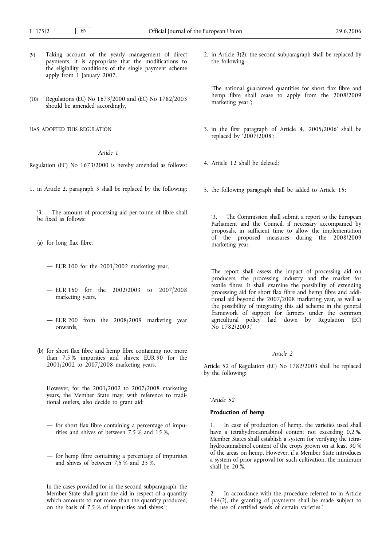- (9) Taking account of the yearly management of direct payments, it is appropriate that the modifications to the eligibility conditions of the single payment scheme apply from 1 January 2007.
- (10) Regulations (EC) No 1673/2000 and (EC) No 1782/2003 should be amended accordingly,

HAS ADOPTED THIS REGULATION:

# *Article 1*

Regulation (EC) No 1673/2000 is hereby amended as follows:

- 1. in Article 2, paragraph 3 shall be replaced by the following:
	- '3. The amount of processing aid per tonne of fibre shall be fixed as follows:
	- (a) for long flax fibre:
		- EUR 100 for the 2001/2002 marketing year,
		- EUR 160 for the 2002/2003 to 2007/2008 marketing years,
		- EUR 200 from the 2008/2009 marketing year onwards,
	- (b) for short flax fibre and hemp fibre containing not more than 7,5 % impurities and shives: EUR 90 for the 2001/2002 to 2007/2008 marketing years.

However, for the 2001/2002 to 2007/2008 marketing years, the Member State may, with reference to traditional outlets, also decide to grant aid:

- for short flax fibre containing a percentage of impurities and shives of between  $7.5\%$  and 15%,
- for hemp fibre containing a percentage of impurities and shives of between 7,5 % and 25 %.

In the cases provided for in the second subparagraph, the Member State shall grant the aid in respect of a quantity which amounts to not more than the quantity produced, on the basis of 7,5 % of impurities and shives.';

2. in Article 3(2), the second subparagraph shall be replaced by the following:

'The national guaranteed quantities for short flax fibre and hemp fibre shall cease to apply from the 2008/2009 marketing year.';

- 3. in the first paragraph of Article 4, '2005/2006' shall be replaced by '2007/2008';
- 4. Article 12 shall be deleted;
- 5. the following paragraph shall be added to Article 15:

'3. The Commission shall submit a report to the European Parliament and the Council, if necessary accompanied by proposals, in sufficient time to allow the implementation of the proposed measures during the 2008/2009 marketing year.

The report shall assess the impact of processing aid on producers, the processing industry and the market for textile fibres. It shall examine the possibility of extending processing aid for short flax fibre and hemp fibre and additional aid beyond the 2007/2008 marketing year, as well as the possibility of integrating this aid scheme in the general framework of support for farmers under the common agricultural policy laid down by Regulation (EC) No 1782/2003.'

## *Article 2*

Article 52 of Regulation (EC) No 1782/2003 shall be replaced by the following:

#### *'Article 52*

#### **Production of hemp**

In case of production of hemp, the varieties used shall have a tetrahydrocannabinol content not exceeding 0,2 %. Member States shall establish a system for verifying the tetrahydrocannabinol content of the crops grown on at least 30 % of the areas on hemp. However, if a Member State introduces a system of prior approval for such cultivation, the minimum shall be 20 %.

2. In accordance with the procedure referred to in Article 144(2), the granting of payments shall be made subject to the use of certified seeds of certain varieties.'